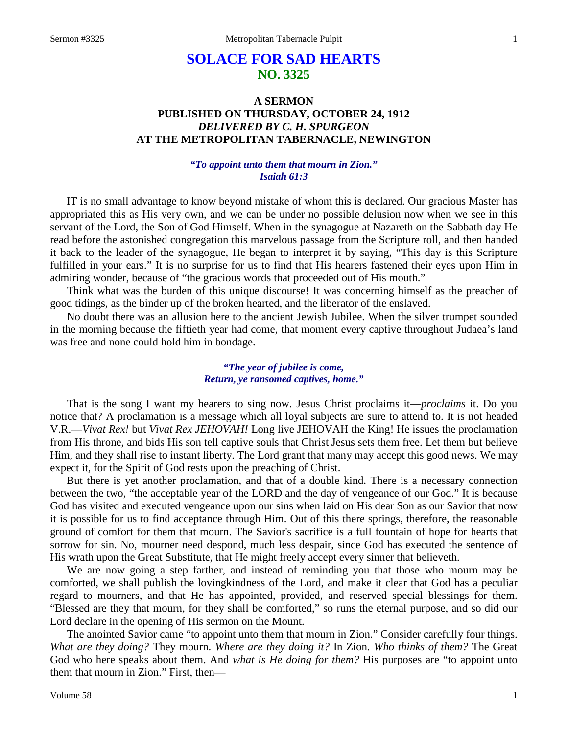# **SOLACE FOR SAD HEARTS NO. 3325**

## **A SERMON PUBLISHED ON THURSDAY, OCTOBER 24, 1912** *DELIVERED BY C. H. SPURGEON* **AT THE METROPOLITAN TABERNACLE, NEWINGTON**

### *"To appoint unto them that mourn in Zion." Isaiah 61:3*

IT is no small advantage to know beyond mistake of whom this is declared. Our gracious Master has appropriated this as His very own, and we can be under no possible delusion now when we see in this servant of the Lord, the Son of God Himself. When in the synagogue at Nazareth on the Sabbath day He read before the astonished congregation this marvelous passage from the Scripture roll, and then handed it back to the leader of the synagogue, He began to interpret it by saying, "This day is this Scripture fulfilled in your ears." It is no surprise for us to find that His hearers fastened their eyes upon Him in admiring wonder, because of "the gracious words that proceeded out of His mouth."

Think what was the burden of this unique discourse! It was concerning himself as the preacher of good tidings, as the binder up of the broken hearted, and the liberator of the enslaved.

No doubt there was an allusion here to the ancient Jewish Jubilee. When the silver trumpet sounded in the morning because the fiftieth year had come, that moment every captive throughout Judaea's land was free and none could hold him in bondage.

### *"The year of jubilee is come, Return, ye ransomed captives, home."*

That is the song I want my hearers to sing now. Jesus Christ proclaims it—*proclaims* it. Do you notice that? A proclamation is a message which all loyal subjects are sure to attend to. It is not headed V.R.—*Vivat Rex!* but *Vivat Rex JEHOVAH!* Long live JEHOVAH the King! He issues the proclamation from His throne, and bids His son tell captive souls that Christ Jesus sets them free. Let them but believe Him, and they shall rise to instant liberty. The Lord grant that many may accept this good news. We may expect it, for the Spirit of God rests upon the preaching of Christ.

But there is yet another proclamation, and that of a double kind. There is a necessary connection between the two, "the acceptable year of the LORD and the day of vengeance of our God." It is because God has visited and executed vengeance upon our sins when laid on His dear Son as our Savior that now it is possible for us to find acceptance through Him. Out of this there springs, therefore, the reasonable ground of comfort for them that mourn. The Savior's sacrifice is a full fountain of hope for hearts that sorrow for sin. No, mourner need despond, much less despair, since God has executed the sentence of His wrath upon the Great Substitute, that He might freely accept every sinner that believeth.

We are now going a step farther, and instead of reminding you that those who mourn may be comforted, we shall publish the lovingkindness of the Lord, and make it clear that God has a peculiar regard to mourners, and that He has appointed, provided, and reserved special blessings for them. "Blessed are they that mourn, for they shall be comforted," so runs the eternal purpose, and so did our Lord declare in the opening of His sermon on the Mount.

The anointed Savior came "to appoint unto them that mourn in Zion." Consider carefully four things. *What are they doing?* They mourn. *Where are they doing it?* In Zion. *Who thinks of them?* The Great God who here speaks about them. And *what is He doing for them?* His purposes are "to appoint unto them that mourn in Zion." First, then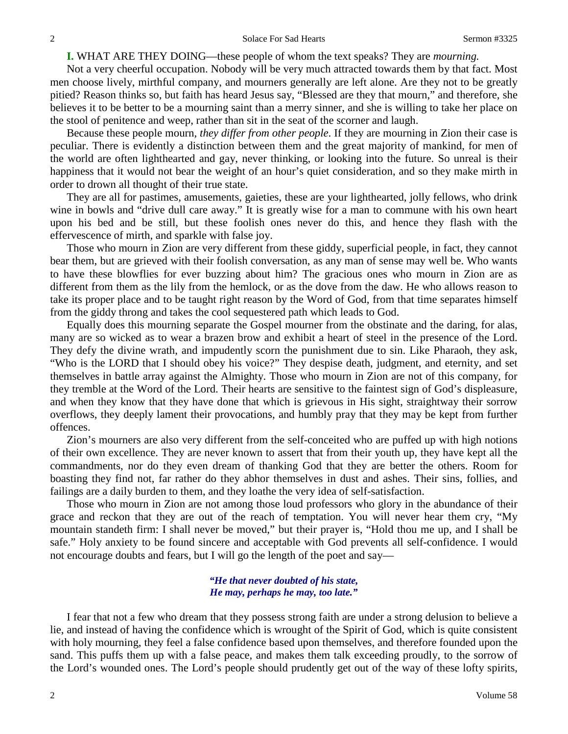**I.** WHAT ARE THEY DOING—these people of whom the text speaks? They are *mourning.*

Not a very cheerful occupation. Nobody will be very much attracted towards them by that fact. Most men choose lively, mirthful company, and mourners generally are left alone. Are they not to be greatly pitied? Reason thinks so, but faith has heard Jesus say, "Blessed are they that mourn," and therefore, she believes it to be better to be a mourning saint than a merry sinner, and she is willing to take her place on the stool of penitence and weep, rather than sit in the seat of the scorner and laugh.

Because these people mourn, *they differ from other people*. If they are mourning in Zion their case is peculiar. There is evidently a distinction between them and the great majority of mankind, for men of the world are often lighthearted and gay, never thinking, or looking into the future. So unreal is their happiness that it would not bear the weight of an hour's quiet consideration, and so they make mirth in order to drown all thought of their true state.

They are all for pastimes, amusements, gaieties, these are your lighthearted, jolly fellows, who drink wine in bowls and "drive dull care away." It is greatly wise for a man to commune with his own heart upon his bed and be still, but these foolish ones never do this, and hence they flash with the effervescence of mirth, and sparkle with false joy.

Those who mourn in Zion are very different from these giddy, superficial people, in fact, they cannot bear them, but are grieved with their foolish conversation, as any man of sense may well be. Who wants to have these blowflies for ever buzzing about him? The gracious ones who mourn in Zion are as different from them as the lily from the hemlock, or as the dove from the daw. He who allows reason to take its proper place and to be taught right reason by the Word of God, from that time separates himself from the giddy throng and takes the cool sequestered path which leads to God.

Equally does this mourning separate the Gospel mourner from the obstinate and the daring, for alas, many are so wicked as to wear a brazen brow and exhibit a heart of steel in the presence of the Lord. They defy the divine wrath, and impudently scorn the punishment due to sin. Like Pharaoh, they ask, "Who is the LORD that I should obey his voice?" They despise death, judgment, and eternity, and set themselves in battle array against the Almighty. Those who mourn in Zion are not of this company, for they tremble at the Word of the Lord. Their hearts are sensitive to the faintest sign of God's displeasure, and when they know that they have done that which is grievous in His sight, straightway their sorrow overflows, they deeply lament their provocations, and humbly pray that they may be kept from further offences.

Zion's mourners are also very different from the self-conceited who are puffed up with high notions of their own excellence. They are never known to assert that from their youth up, they have kept all the commandments, nor do they even dream of thanking God that they are better the others. Room for boasting they find not, far rather do they abhor themselves in dust and ashes. Their sins, follies, and failings are a daily burden to them, and they loathe the very idea of self-satisfaction.

Those who mourn in Zion are not among those loud professors who glory in the abundance of their grace and reckon that they are out of the reach of temptation. You will never hear them cry, "My mountain standeth firm: I shall never be moved," but their prayer is, "Hold thou me up, and I shall be safe." Holy anxiety to be found sincere and acceptable with God prevents all self-confidence. I would not encourage doubts and fears, but I will go the length of the poet and say—

### *"He that never doubted of his state, He may, perhaps he may, too late."*

I fear that not a few who dream that they possess strong faith are under a strong delusion to believe a lie, and instead of having the confidence which is wrought of the Spirit of God, which is quite consistent with holy mourning, they feel a false confidence based upon themselves, and therefore founded upon the sand. This puffs them up with a false peace, and makes them talk exceeding proudly, to the sorrow of the Lord's wounded ones. The Lord's people should prudently get out of the way of these lofty spirits,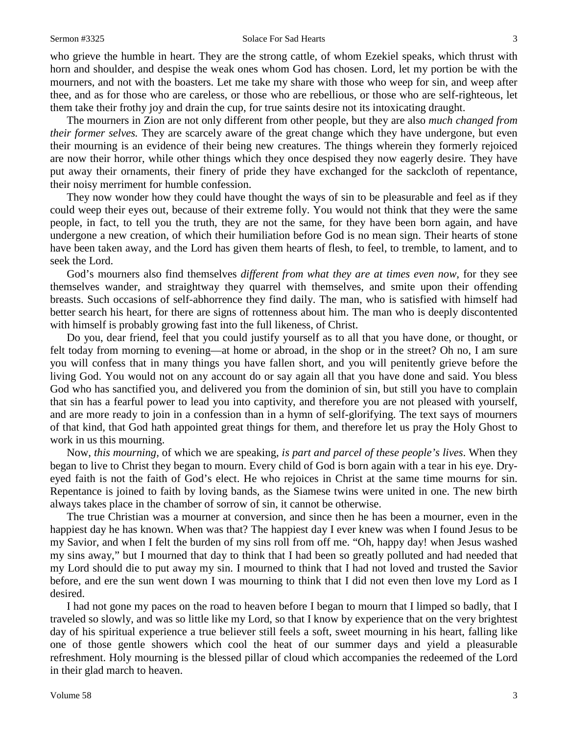#### Sermon #3325 Solace For Sad Hearts 3

who grieve the humble in heart. They are the strong cattle, of whom Ezekiel speaks, which thrust with horn and shoulder, and despise the weak ones whom God has chosen. Lord, let my portion be with the mourners, and not with the boasters. Let me take my share with those who weep for sin, and weep after thee, and as for those who are careless, or those who are rebellious, or those who are self-righteous, let them take their frothy joy and drain the cup, for true saints desire not its intoxicating draught.

The mourners in Zion are not only different from other people, but they are also *much changed from their former selves.* They are scarcely aware of the great change which they have undergone, but even their mourning is an evidence of their being new creatures. The things wherein they formerly rejoiced are now their horror, while other things which they once despised they now eagerly desire. They have put away their ornaments, their finery of pride they have exchanged for the sackcloth of repentance, their noisy merriment for humble confession.

They now wonder how they could have thought the ways of sin to be pleasurable and feel as if they could weep their eyes out, because of their extreme folly. You would not think that they were the same people, in fact, to tell you the truth, they are not the same, for they have been born again, and have undergone a new creation, of which their humiliation before God is no mean sign. Their hearts of stone have been taken away, and the Lord has given them hearts of flesh, to feel, to tremble, to lament, and to seek the Lord.

God's mourners also find themselves *different from what they are at times even now,* for they see themselves wander, and straightway they quarrel with themselves, and smite upon their offending breasts. Such occasions of self-abhorrence they find daily. The man, who is satisfied with himself had better search his heart, for there are signs of rottenness about him. The man who is deeply discontented with himself is probably growing fast into the full likeness, of Christ.

Do you, dear friend, feel that you could justify yourself as to all that you have done, or thought, or felt today from morning to evening—at home or abroad, in the shop or in the street? Oh no, I am sure you will confess that in many things you have fallen short, and you will penitently grieve before the living God. You would not on any account do or say again all that you have done and said. You bless God who has sanctified you, and delivered you from the dominion of sin, but still you have to complain that sin has a fearful power to lead you into captivity, and therefore you are not pleased with yourself, and are more ready to join in a confession than in a hymn of self-glorifying. The text says of mourners of that kind, that God hath appointed great things for them, and therefore let us pray the Holy Ghost to work in us this mourning.

Now, *this mourning,* of which we are speaking, *is part and parcel of these people's lives*. When they began to live to Christ they began to mourn. Every child of God is born again with a tear in his eye. Dryeyed faith is not the faith of God's elect. He who rejoices in Christ at the same time mourns for sin. Repentance is joined to faith by loving bands, as the Siamese twins were united in one. The new birth always takes place in the chamber of sorrow of sin, it cannot be otherwise.

The true Christian was a mourner at conversion, and since then he has been a mourner, even in the happiest day he has known. When was that? The happiest day I ever knew was when I found Jesus to be my Savior, and when I felt the burden of my sins roll from off me. "Oh, happy day! when Jesus washed my sins away," but I mourned that day to think that I had been so greatly polluted and had needed that my Lord should die to put away my sin. I mourned to think that I had not loved and trusted the Savior before, and ere the sun went down I was mourning to think that I did not even then love my Lord as I desired.

I had not gone my paces on the road to heaven before I began to mourn that I limped so badly, that I traveled so slowly, and was so little like my Lord, so that I know by experience that on the very brightest day of his spiritual experience a true believer still feels a soft, sweet mourning in his heart, falling like one of those gentle showers which cool the heat of our summer days and yield a pleasurable refreshment. Holy mourning is the blessed pillar of cloud which accompanies the redeemed of the Lord in their glad march to heaven.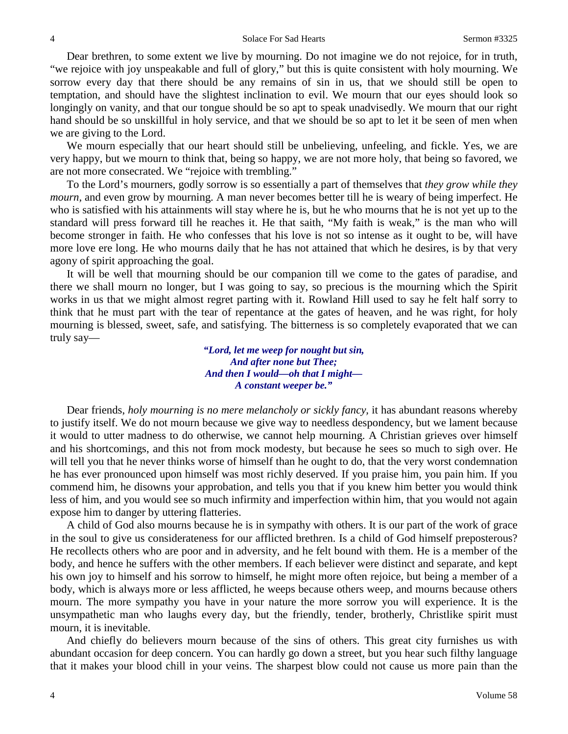Dear brethren, to some extent we live by mourning. Do not imagine we do not rejoice, for in truth, "we rejoice with joy unspeakable and full of glory," but this is quite consistent with holy mourning. We sorrow every day that there should be any remains of sin in us, that we should still be open to temptation, and should have the slightest inclination to evil. We mourn that our eyes should look so longingly on vanity, and that our tongue should be so apt to speak unadvisedly. We mourn that our right hand should be so unskillful in holy service, and that we should be so apt to let it be seen of men when we are giving to the Lord.

We mourn especially that our heart should still be unbelieving, unfeeling, and fickle. Yes, we are very happy, but we mourn to think that, being so happy, we are not more holy, that being so favored, we are not more consecrated. We "rejoice with trembling."

To the Lord's mourners, godly sorrow is so essentially a part of themselves that *they grow while they mourn*, and even grow by mourning. A man never becomes better till he is weary of being imperfect. He who is satisfied with his attainments will stay where he is, but he who mourns that he is not yet up to the standard will press forward till he reaches it. He that saith, "My faith is weak," is the man who will become stronger in faith. He who confesses that his love is not so intense as it ought to be, will have more love ere long. He who mourns daily that he has not attained that which he desires, is by that very agony of spirit approaching the goal.

It will be well that mourning should be our companion till we come to the gates of paradise, and there we shall mourn no longer, but I was going to say, so precious is the mourning which the Spirit works in us that we might almost regret parting with it. Rowland Hill used to say he felt half sorry to think that he must part with the tear of repentance at the gates of heaven, and he was right, for holy mourning is blessed, sweet, safe, and satisfying. The bitterness is so completely evaporated that we can truly say—

> *"Lord, let me weep for nought but sin, And after none but Thee; And then I would—oh that I might— A constant weeper be."*

Dear friends, *holy mourning is no mere melancholy or sickly fancy,* it has abundant reasons whereby to justify itself. We do not mourn because we give way to needless despondency, but we lament because it would to utter madness to do otherwise, we cannot help mourning. A Christian grieves over himself and his shortcomings, and this not from mock modesty, but because he sees so much to sigh over. He will tell you that he never thinks worse of himself than he ought to do, that the very worst condemnation he has ever pronounced upon himself was most richly deserved. If you praise him, you pain him. If you commend him, he disowns your approbation, and tells you that if you knew him better you would think less of him, and you would see so much infirmity and imperfection within him, that you would not again expose him to danger by uttering flatteries.

A child of God also mourns because he is in sympathy with others. It is our part of the work of grace in the soul to give us considerateness for our afflicted brethren. Is a child of God himself preposterous? He recollects others who are poor and in adversity, and he felt bound with them. He is a member of the body, and hence he suffers with the other members. If each believer were distinct and separate, and kept his own joy to himself and his sorrow to himself, he might more often rejoice, but being a member of a body, which is always more or less afflicted, he weeps because others weep, and mourns because others mourn. The more sympathy you have in your nature the more sorrow you will experience. It is the unsympathetic man who laughs every day, but the friendly, tender, brotherly, Christlike spirit must mourn, it is inevitable.

And chiefly do believers mourn because of the sins of others. This great city furnishes us with abundant occasion for deep concern. You can hardly go down a street, but you hear such filthy language that it makes your blood chill in your veins. The sharpest blow could not cause us more pain than the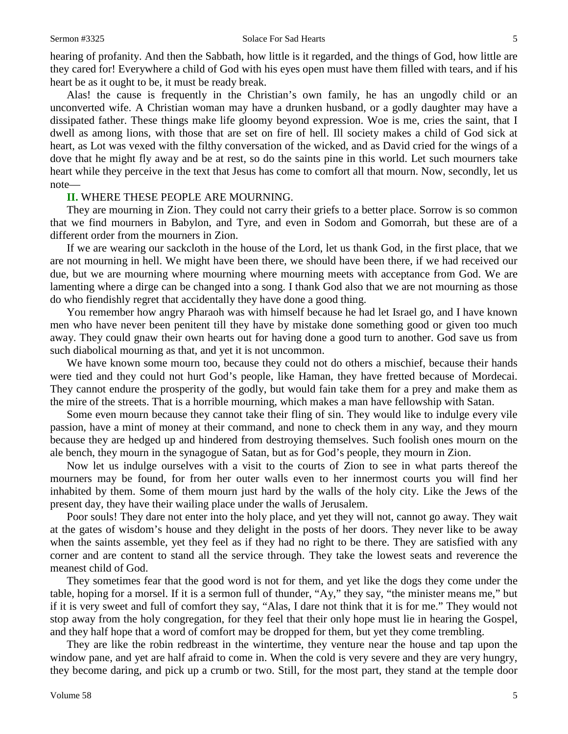hearing of profanity. And then the Sabbath, how little is it regarded, and the things of God, how little are they cared for! Everywhere a child of God with his eyes open must have them filled with tears, and if his heart be as it ought to be, it must be ready break.

Alas! the cause is frequently in the Christian's own family, he has an ungodly child or an unconverted wife. A Christian woman may have a drunken husband, or a godly daughter may have a dissipated father. These things make life gloomy beyond expression. Woe is me, cries the saint, that I dwell as among lions, with those that are set on fire of hell. Ill society makes a child of God sick at heart, as Lot was vexed with the filthy conversation of the wicked, and as David cried for the wings of a dove that he might fly away and be at rest, so do the saints pine in this world. Let such mourners take heart while they perceive in the text that Jesus has come to comfort all that mourn. Now, secondly, let us note—

#### **II.** WHERE THESE PEOPLE ARE MOURNING.

They are mourning in Zion. They could not carry their griefs to a better place. Sorrow is so common that we find mourners in Babylon, and Tyre, and even in Sodom and Gomorrah, but these are of a different order from the mourners in Zion.

If we are wearing our sackcloth in the house of the Lord, let us thank God, in the first place, that we are not mourning in hell. We might have been there, we should have been there, if we had received our due, but we are mourning where mourning where mourning meets with acceptance from God. We are lamenting where a dirge can be changed into a song. I thank God also that we are not mourning as those do who fiendishly regret that accidentally they have done a good thing.

You remember how angry Pharaoh was with himself because he had let Israel go, and I have known men who have never been penitent till they have by mistake done something good or given too much away. They could gnaw their own hearts out for having done a good turn to another. God save us from such diabolical mourning as that, and yet it is not uncommon.

We have known some mourn too, because they could not do others a mischief, because their hands were tied and they could not hurt God's people, like Haman, they have fretted because of Mordecai. They cannot endure the prosperity of the godly, but would fain take them for a prey and make them as the mire of the streets. That is a horrible mourning, which makes a man have fellowship with Satan.

Some even mourn because they cannot take their fling of sin. They would like to indulge every vile passion, have a mint of money at their command, and none to check them in any way, and they mourn because they are hedged up and hindered from destroying themselves. Such foolish ones mourn on the ale bench, they mourn in the synagogue of Satan, but as for God's people, they mourn in Zion.

Now let us indulge ourselves with a visit to the courts of Zion to see in what parts thereof the mourners may be found, for from her outer walls even to her innermost courts you will find her inhabited by them. Some of them mourn just hard by the walls of the holy city. Like the Jews of the present day, they have their wailing place under the walls of Jerusalem.

Poor souls! They dare not enter into the holy place, and yet they will not, cannot go away. They wait at the gates of wisdom's house and they delight in the posts of her doors. They never like to be away when the saints assemble, yet they feel as if they had no right to be there. They are satisfied with any corner and are content to stand all the service through. They take the lowest seats and reverence the meanest child of God.

They sometimes fear that the good word is not for them, and yet like the dogs they come under the table, hoping for a morsel. If it is a sermon full of thunder, "Ay," they say, "the minister means me," but if it is very sweet and full of comfort they say, "Alas, I dare not think that it is for me." They would not stop away from the holy congregation, for they feel that their only hope must lie in hearing the Gospel, and they half hope that a word of comfort may be dropped for them, but yet they come trembling.

They are like the robin redbreast in the wintertime, they venture near the house and tap upon the window pane, and yet are half afraid to come in. When the cold is very severe and they are very hungry, they become daring, and pick up a crumb or two. Still, for the most part, they stand at the temple door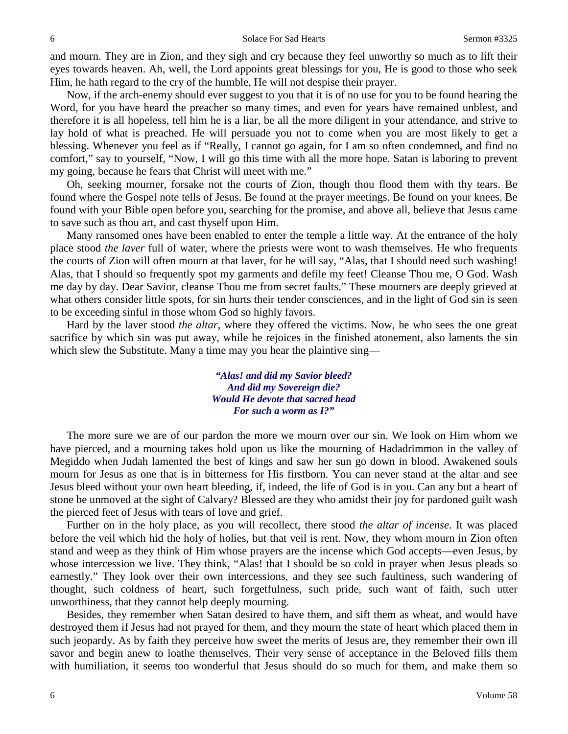and mourn. They are in Zion, and they sigh and cry because they feel unworthy so much as to lift their eyes towards heaven. Ah, well, the Lord appoints great blessings for you, He is good to those who seek Him, he hath regard to the cry of the humble, He will not despise their prayer.

Now, if the arch-enemy should ever suggest to you that it is of no use for you to be found hearing the Word, for you have heard the preacher so many times, and even for years have remained unblest, and therefore it is all hopeless, tell him he is a liar, be all the more diligent in your attendance, and strive to lay hold of what is preached. He will persuade you not to come when you are most likely to get a blessing. Whenever you feel as if "Really, I cannot go again, for I am so often condemned, and find no comfort," say to yourself, "Now, I will go this time with all the more hope. Satan is laboring to prevent my going, because he fears that Christ will meet with me."

Oh, seeking mourner, forsake not the courts of Zion, though thou flood them with thy tears. Be found where the Gospel note tells of Jesus. Be found at the prayer meetings. Be found on your knees. Be found with your Bible open before you, searching for the promise, and above all, believe that Jesus came to save such as thou art, and cast thyself upon Him.

Many ransomed ones have been enabled to enter the temple a little way. At the entrance of the holy place stood *the laver* full of water, where the priests were wont to wash themselves. He who frequents the courts of Zion will often mourn at that laver, for he will say, "Alas, that I should need such washing! Alas, that I should so frequently spot my garments and defile my feet! Cleanse Thou me, O God. Wash me day by day. Dear Savior, cleanse Thou me from secret faults." These mourners are deeply grieved at what others consider little spots, for sin hurts their tender consciences, and in the light of God sin is seen to be exceeding sinful in those whom God so highly favors.

Hard by the laver stood *the altar,* where they offered the victims. Now, he who sees the one great sacrifice by which sin was put away, while he rejoices in the finished atonement, also laments the sin which slew the Substitute. Many a time may you hear the plaintive sing—

> *"Alas! and did my Savior bleed? And did my Sovereign die? Would He devote that sacred head For such a worm as I?"*

The more sure we are of our pardon the more we mourn over our sin. We look on Him whom we have pierced, and a mourning takes hold upon us like the mourning of Hadadrimmon in the valley of Megiddo when Judah lamented the best of kings and saw her sun go down in blood. Awakened souls mourn for Jesus as one that is in bitterness for His firstborn. You can never stand at the altar and see Jesus bleed without your own heart bleeding, if, indeed, the life of God is in you. Can any but a heart of stone be unmoved at the sight of Calvary? Blessed are they who amidst their joy for pardoned guilt wash the pierced feet of Jesus with tears of love and grief.

Further on in the holy place, as you will recollect, there stood *the altar of incense*. It was placed before the veil which hid the holy of holies, but that veil is rent. Now, they whom mourn in Zion often stand and weep as they think of Him whose prayers are the incense which God accepts—even Jesus, by whose intercession we live. They think, "Alas! that I should be so cold in prayer when Jesus pleads so earnestly." They look over their own intercessions, and they see such faultiness, such wandering of thought, such coldness of heart, such forgetfulness, such pride, such want of faith, such utter unworthiness, that they cannot help deeply mourning.

Besides, they remember when Satan desired to have them, and sift them as wheat, and would have destroyed them if Jesus had not prayed for them, and they mourn the state of heart which placed them in such jeopardy. As by faith they perceive how sweet the merits of Jesus are, they remember their own ill savor and begin anew to loathe themselves. Their very sense of acceptance in the Beloved fills them with humiliation, it seems too wonderful that Jesus should do so much for them, and make them so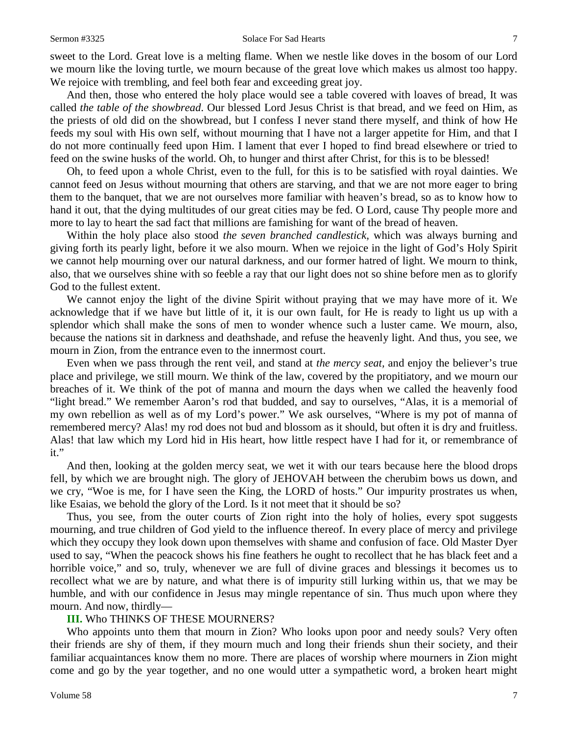#### Sermon #3325 Solace For Sad Hearts 7

sweet to the Lord. Great love is a melting flame. When we nestle like doves in the bosom of our Lord we mourn like the loving turtle, we mourn because of the great love which makes us almost too happy. We rejoice with trembling, and feel both fear and exceeding great joy.

And then, those who entered the holy place would see a table covered with loaves of bread, It was called *the table of the showbread*. Our blessed Lord Jesus Christ is that bread, and we feed on Him, as the priests of old did on the showbread, but I confess I never stand there myself, and think of how He feeds my soul with His own self, without mourning that I have not a larger appetite for Him, and that I do not more continually feed upon Him. I lament that ever I hoped to find bread elsewhere or tried to feed on the swine husks of the world. Oh, to hunger and thirst after Christ, for this is to be blessed!

Oh, to feed upon a whole Christ, even to the full, for this is to be satisfied with royal dainties. We cannot feed on Jesus without mourning that others are starving, and that we are not more eager to bring them to the banquet, that we are not ourselves more familiar with heaven's bread, so as to know how to hand it out, that the dying multitudes of our great cities may be fed. O Lord, cause Thy people more and more to lay to heart the sad fact that millions are famishing for want of the bread of heaven.

Within the holy place also stood *the seven branched candlestick,* which was always burning and giving forth its pearly light, before it we also mourn. When we rejoice in the light of God's Holy Spirit we cannot help mourning over our natural darkness, and our former hatred of light. We mourn to think, also, that we ourselves shine with so feeble a ray that our light does not so shine before men as to glorify God to the fullest extent.

We cannot enjoy the light of the divine Spirit without praying that we may have more of it. We acknowledge that if we have but little of it, it is our own fault, for He is ready to light us up with a splendor which shall make the sons of men to wonder whence such a luster came. We mourn, also, because the nations sit in darkness and deathshade, and refuse the heavenly light. And thus, you see, we mourn in Zion, from the entrance even to the innermost court.

Even when we pass through the rent veil, and stand at *the mercy seat,* and enjoy the believer's true place and privilege, we still mourn. We think of the law, covered by the propitiatory, and we mourn our breaches of it. We think of the pot of manna and mourn the days when we called the heavenly food "light bread." We remember Aaron's rod that budded, and say to ourselves, "Alas, it is a memorial of my own rebellion as well as of my Lord's power." We ask ourselves, "Where is my pot of manna of remembered mercy? Alas! my rod does not bud and blossom as it should, but often it is dry and fruitless. Alas! that law which my Lord hid in His heart, how little respect have I had for it, or remembrance of it."

And then, looking at the golden mercy seat, we wet it with our tears because here the blood drops fell, by which we are brought nigh. The glory of JEHOVAH between the cherubim bows us down, and we cry, "Woe is me, for I have seen the King, the LORD of hosts." Our impurity prostrates us when, like Esaias, we behold the glory of the Lord. Is it not meet that it should be so?

Thus, you see, from the outer courts of Zion right into the holy of holies, every spot suggests mourning, and true children of God yield to the influence thereof. In every place of mercy and privilege which they occupy they look down upon themselves with shame and confusion of face. Old Master Dyer used to say, "When the peacock shows his fine feathers he ought to recollect that he has black feet and a horrible voice," and so, truly, whenever we are full of divine graces and blessings it becomes us to recollect what we are by nature, and what there is of impurity still lurking within us, that we may be humble, and with our confidence in Jesus may mingle repentance of sin. Thus much upon where they mourn. And now, thirdly—

#### **III.** Who THINKS OF THESE MOURNERS?

Who appoints unto them that mourn in Zion? Who looks upon poor and needy souls? Very often their friends are shy of them, if they mourn much and long their friends shun their society, and their familiar acquaintances know them no more. There are places of worship where mourners in Zion might come and go by the year together, and no one would utter a sympathetic word, a broken heart might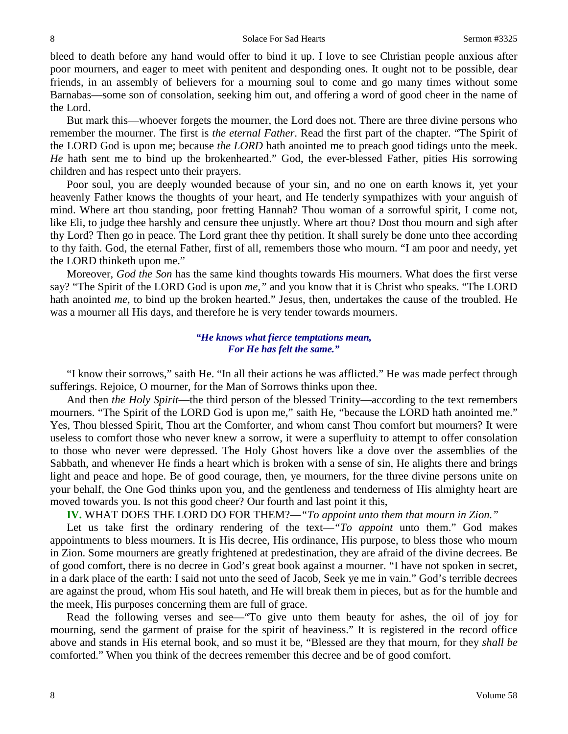bleed to death before any hand would offer to bind it up. I love to see Christian people anxious after poor mourners, and eager to meet with penitent and desponding ones. It ought not to be possible, dear friends, in an assembly of believers for a mourning soul to come and go many times without some Barnabas—some son of consolation, seeking him out, and offering a word of good cheer in the name of the Lord.

But mark this—whoever forgets the mourner, the Lord does not. There are three divine persons who remember the mourner. The first is *the eternal Father*. Read the first part of the chapter. "The Spirit of the LORD God is upon me; because *the LORD* hath anointed me to preach good tidings unto the meek. *He* hath sent me to bind up the brokenhearted." God, the ever-blessed Father, pities His sorrowing children and has respect unto their prayers.

Poor soul, you are deeply wounded because of your sin, and no one on earth knows it, yet your heavenly Father knows the thoughts of your heart, and He tenderly sympathizes with your anguish of mind. Where art thou standing, poor fretting Hannah? Thou woman of a sorrowful spirit, I come not, like Eli, to judge thee harshly and censure thee unjustly. Where art thou? Dost thou mourn and sigh after thy Lord? Then go in peace. The Lord grant thee thy petition. It shall surely be done unto thee according to thy faith. God, the eternal Father, first of all, remembers those who mourn. "I am poor and needy, yet the LORD thinketh upon me."

Moreover, *God the Son* has the same kind thoughts towards His mourners. What does the first verse say? "The Spirit of the LORD God is upon *me,"* and you know that it is Christ who speaks. "The LORD hath anointed *me,* to bind up the broken hearted." Jesus, then, undertakes the cause of the troubled. He was a mourner all His days, and therefore he is very tender towards mourners.

#### *"He knows what fierce temptations mean, For He has felt the same."*

"I know their sorrows," saith He. "In all their actions he was afflicted." He was made perfect through sufferings. Rejoice, O mourner, for the Man of Sorrows thinks upon thee.

And then *the Holy Spirit*—the third person of the blessed Trinity—according to the text remembers mourners. "The Spirit of the LORD God is upon me," saith He, "because the LORD hath anointed me." Yes, Thou blessed Spirit, Thou art the Comforter, and whom canst Thou comfort but mourners? It were useless to comfort those who never knew a sorrow, it were a superfluity to attempt to offer consolation to those who never were depressed. The Holy Ghost hovers like a dove over the assemblies of the Sabbath, and whenever He finds a heart which is broken with a sense of sin, He alights there and brings light and peace and hope. Be of good courage, then, ye mourners, for the three divine persons unite on your behalf, the One God thinks upon you, and the gentleness and tenderness of His almighty heart are moved towards you. Is not this good cheer? Our fourth and last point it this,

#### **IV.** WHAT DOES THE LORD DO FOR THEM?—*"To appoint unto them that mourn in Zion."*

Let us take first the ordinary rendering of the text—*"To appoint* unto them." God makes appointments to bless mourners. It is His decree, His ordinance, His purpose, to bless those who mourn in Zion. Some mourners are greatly frightened at predestination, they are afraid of the divine decrees. Be of good comfort, there is no decree in God's great book against a mourner. "I have not spoken in secret, in a dark place of the earth: I said not unto the seed of Jacob, Seek ye me in vain." God's terrible decrees are against the proud, whom His soul hateth, and He will break them in pieces, but as for the humble and the meek, His purposes concerning them are full of grace.

Read the following verses and see—"To give unto them beauty for ashes, the oil of joy for mourning, send the garment of praise for the spirit of heaviness." It is registered in the record office above and stands in His eternal book, and so must it be, "Blessed are they that mourn, for they *shall be* comforted." When you think of the decrees remember this decree and be of good comfort.